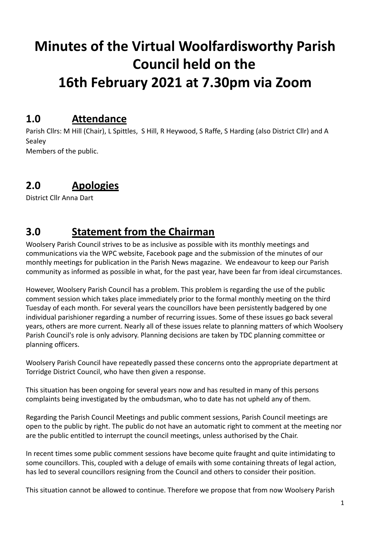# **Minutes of the Virtual Woolfardisworthy Parish Council held on the 16th February 2021 at 7.30pm via Zoom**

### **1.0 Attendance**

Parish Cllrs: M Hill (Chair), L Spittles, S Hill, R Heywood, S Raffe, S Harding (also District Cllr) and A Sealey Members of the public.

### **2.0 Apologies**

District Cllr Anna Dart

### **3.0 Statement from the Chairman**

Woolsery Parish Council strives to be as inclusive as possible with its monthly meetings and communications via the WPC website, Facebook page and the submission of the minutes of our monthly meetings for publication in the Parish News magazine. We endeavour to keep our Parish community as informed as possible in what, for the past year, have been far from ideal circumstances.

However, Woolsery Parish Council has a problem. This problem is regarding the use of the public comment session which takes place immediately prior to the formal monthly meeting on the third Tuesday of each month. For several years the councillors have been persistently badgered by one individual parishioner regarding a number of recurring issues. Some of these issues go back several years, others are more current. Nearly all of these issues relate to planning matters of which Woolsery Parish Council's role is only advisory. Planning decisions are taken by TDC planning committee or planning officers.

Woolsery Parish Council have repeatedly passed these concerns onto the appropriate department at Torridge District Council, who have then given a response.

This situation has been ongoing for several years now and has resulted in many of this persons complaints being investigated by the ombudsman, who to date has not upheld any of them.

Regarding the Parish Council Meetings and public comment sessions, Parish Council meetings are open to the public by right. The public do not have an automatic right to comment at the meeting nor are the public entitled to interrupt the council meetings, unless authorised by the Chair.

In recent times some public comment sessions have become quite fraught and quite intimidating to some councillors. This, coupled with a deluge of emails with some containing threats of legal action, has led to several councillors resigning from the Council and others to consider their position.

This situation cannot be allowed to continue. Therefore we propose that from now Woolsery Parish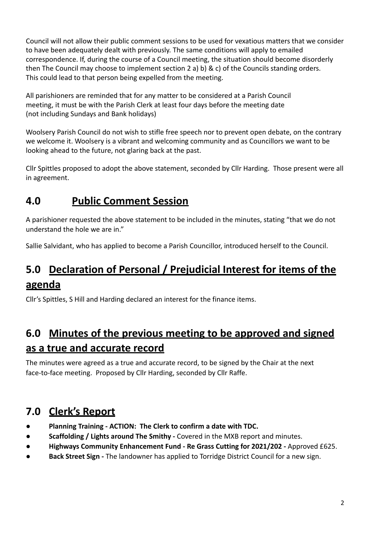Council will not allow their public comment sessions to be used for vexatious matters that we consider to have been adequately dealt with previously. The same conditions will apply to emailed correspondence. If, during the course of a Council meeting, the situation should become disorderly then The Council may choose to implement section 2 a) b) & c) of the Councils standing orders. This could lead to that person being expelled from the meeting.

All parishioners are reminded that for any matter to be considered at a Parish Council meeting, it must be with the Parish Clerk at least four days before the meeting date (not including Sundays and Bank holidays)

Woolsery Parish Council do not wish to stifle free speech nor to prevent open debate, on the contrary we welcome it. Woolsery is a vibrant and welcoming community and as Councillors we want to be looking ahead to the future, not glaring back at the past.

Cllr Spittles proposed to adopt the above statement, seconded by Cllr Harding. Those present were all in agreement.

# **4.0 Public Comment Session**

A parishioner requested the above statement to be included in the minutes, stating "that we do not understand the hole we are in."

Sallie Salvidant, who has applied to become a Parish Councillor, introduced herself to the Council.

# **5.0 Declaration of Personal / Prejudicial Interest for items of the agenda**

Cllr's Spittles, S Hill and Harding declared an interest for the finance items.

# **6.0 Minutes of the previous meeting to be approved and signed as a true and accurate record**

The minutes were agreed as a true and accurate record, to be signed by the Chair at the next face-to-face meeting. Proposed by Cllr Harding, seconded by Cllr Raffe.

# **7.0 Clerk's Report**

- **● Planning Training ACTION: The Clerk to confirm a date with TDC.**
- **● Scaffolding / Lights around The Smithy -** Covered in the MXB report and minutes.
- **● Highways Community Enhancement Fund Re Grass Cutting for 2021/202 -** Approved £625.
- **● Back Street Sign -** The landowner has applied to Torridge District Council for a new sign.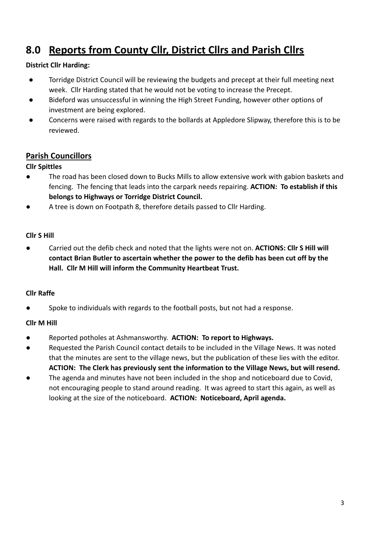# **8.0 Reports from County Cllr, District Cllrs and Parish Cllrs**

#### **District Cllr Harding:**

- Torridge District Council will be reviewing the budgets and precept at their full meeting next week. Cllr Harding stated that he would not be voting to increase the Precept.
- Bideford was unsuccessful in winning the High Street Funding, however other options of investment are being explored.
- Concerns were raised with regards to the bollards at Appledore Slipway, therefore this is to be reviewed.

#### **Parish Councillors**

#### **Cllr Spittles**

- The road has been closed down to Bucks Mills to allow extensive work with gabion baskets and fencing. The fencing that leads into the carpark needs repairing. **ACTION: To establish if this belongs to Highways or Torridge District Council.**
- A tree is down on Footpath 8, therefore details passed to Cllr Harding.

#### **Cllr S Hill**

● Carried out the defib check and noted that the lights were not on. **ACTIONS: Cllr S Hill will contact Brian Butler to ascertain whether the power to the defib has been cut off by the Hall. Cllr M Hill will inform the Community Heartbeat Trust.**

#### **Cllr Raffe**

● Spoke to individuals with regards to the football posts, but not had a response.

#### **Cllr M Hill**

- Reported potholes at Ashmansworthy. **ACTION: To report to Highways.**
- Requested the Parish Council contact details to be included in the Village News. It was noted that the minutes are sent to the village news, but the publication of these lies with the editor. **ACTION: The Clerk has previously sent the information to the Village News, but will resend.**
- The agenda and minutes have not been included in the shop and noticeboard due to Covid, not encouraging people to stand around reading. It was agreed to start this again, as well as looking at the size of the noticeboard. **ACTION: Noticeboard, April agenda.**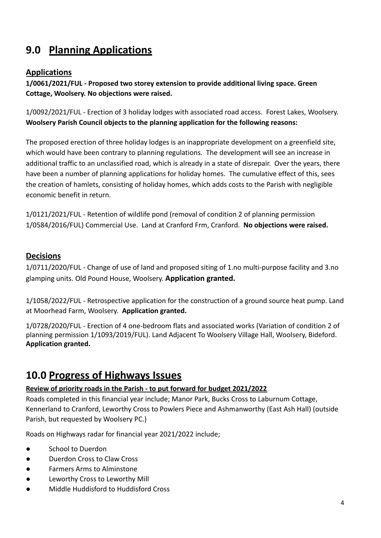# **9.0 Planning Applications**

#### **Applications**

**1/0061/2021/FUL - Proposed two storey extension to provide additional living space. Green Cottage, Woolsery. No objections were raised.**

1/0092/2021/FUL - Erection of 3 holiday lodges with associated road access. Forest Lakes, Woolsery. **Woolsery Parish Council objects to the planning application for the following reasons:**

The proposed erection of three holiday lodges is an inappropriate development on a greenfield site, which would have been contrary to planning regulations. The development will see an increase in additional traffic to an unclassified road, which is already in a state of disrepair. Over the years, there have been a number of planning applications for holiday homes. The cumulative effect of this, sees the creation of hamlets, consisting of holiday homes, which adds costs to the Parish with negligible economic benefit in return.

1/0121/2021/FUL - Retention of wildlife pond (removal of condition 2 of planning permission 1/0584/2016/FUL) Commercial Use. Land at Cranford Frm, Cranford. **No objections were raised.**

#### **Decisions**

1/0711/2020/FUL - Change of use of land and proposed siting of 1.no multi-purpose facility and 3.no glamping units. Old Pound House, Woolsery. **Application granted.**

1/1058/2022/FUL - Retrospective application for the construction of a ground source heat pump. Land at Moorhead Farm, Woolsery. **Application granted.**

1/0728/2020/FUL - Erection of 4 one-bedroom flats and associated works (Variation of condition 2 of planning permission 1/1093/2019/FUL). Land Adjacent To Woolsery Village Hall, Woolsery, Bideford. **Application granted.**

### **10.0 Progress of Highways Issues**

#### **Review of priority roads in the Parish - to put forward for budget 2021/2022**

Roads completed in this financial year include; Manor Park, Bucks Cross to Laburnum Cottage, Kennerland to Cranford, Leworthy Cross to Powlers Piece and Ashmanworthy (East Ash Hall) (outside Parish, but requested by Woolsery PC.)

Roads on Highways radar for financial year 2021/2022 include;

- School to Duerdon
- Duerdon Cross to Claw Cross
- Farmers Arms to Alminstone
- Leworthy Cross to Leworthy Mill
- Middle Huddisford to Huddisford Cross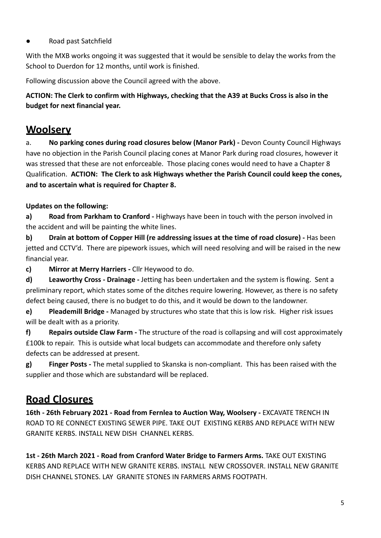#### Road past Satchfield

With the MXB works ongoing it was suggested that it would be sensible to delay the works from the School to Duerdon for 12 months, until work is finished.

Following discussion above the Council agreed with the above.

**ACTION: The Clerk to confirm with Highways, checking that the A39 at Bucks Cross is also in the budget for next financial year.**

### **Woolsery**

a. **No parking cones during road closures below (Manor Park) -** Devon County Council Highways have no objection in the Parish Council placing cones at Manor Park during road closures, however it was stressed that these are not enforceable. Those placing cones would need to have a Chapter 8 Qualification. **ACTION: The Clerk to ask Highways whether the Parish Council could keep the cones, and to ascertain what is required for Chapter 8.**

#### **Updates on the following:**

**a) Road from Parkham to Cranford -** Highways have been in touch with the person involved in the accident and will be painting the white lines.

**b) Drain at bottom of Copper Hill (re addressing issues at the time of road closure) -** Has been jetted and CCTV'd. There are pipework issues, which will need resolving and will be raised in the new financial year.

**c) Mirror at Merry Harriers -** Cllr Heywood to do.

**d) Leaworthy Cross - Drainage -** Jetting has been undertaken and the system is flowing. Sent a preliminary report, which states some of the ditches require lowering. However, as there is no safety defect being caused, there is no budget to do this, and it would be down to the landowner.

**e) Pleademill Bridge -** Managed by structures who state that this is low risk. Higher risk issues will be dealt with as a priority.

**f) Repairs outside Claw Farm -** The structure of the road is collapsing and will cost approximately £100k to repair. This is outside what local budgets can accommodate and therefore only safety defects can be addressed at present.

**g) Finger Posts -** The metal supplied to Skanska is non-compliant. This has been raised with the supplier and those which are substandard will be replaced.

### **Road Closures**

**16th - 26th February 2021 - Road from Fernlea to Auction Way, Woolsery -** EXCAVATE TRENCH IN ROAD TO RE CONNECT EXISTING SEWER PIPE. TAKE OUT EXISTING KERBS AND REPLACE WITH NEW GRANITE KERBS. INSTALL NEW DISH CHANNEL KERBS.

**1st - 26th March 2021 - Road from Cranford Water Bridge to Farmers Arms.** TAKE OUT EXISTING KERBS AND REPLACE WITH NEW GRANITE KERBS. INSTALL NEW CROSSOVER. INSTALL NEW GRANITE DISH CHANNEL STONES. LAY GRANITE STONES IN FARMERS ARMS FOOTPATH.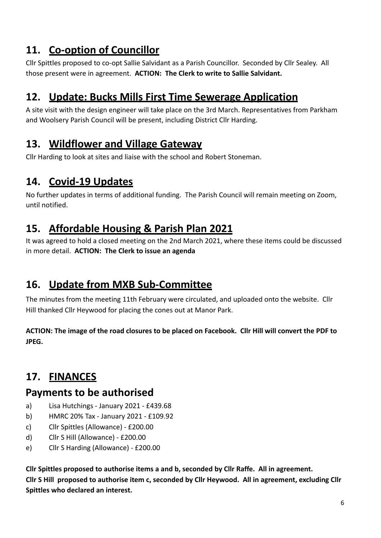# **11. Co-option of Councillor**

Cllr Spittles proposed to co-opt Sallie Salvidant as a Parish Councillor. Seconded by Cllr Sealey. All those present were in agreement. **ACTION: The Clerk to write to Sallie Salvidant.**

# **12. Update: Bucks Mills First Time Sewerage Application**

A site visit with the design engineer will take place on the 3rd March. Representatives from Parkham and Woolsery Parish Council will be present, including District Cllr Harding.

### **13. Wildflower and Village Gateway**

Cllr Harding to look at sites and liaise with the school and Robert Stoneman.

# **14. Covid-19 Updates**

No further updates in terms of additional funding. The Parish Council will remain meeting on Zoom, until notified.

### **15. Affordable Housing & Parish Plan 2021**

It was agreed to hold a closed meeting on the 2nd March 2021, where these items could be discussed in more detail. **ACTION: The Clerk to issue an agenda**

# **16. Update from MXB Sub-Committee**

The minutes from the meeting 11th February were circulated, and uploaded onto the website. Cllr Hill thanked Cllr Heywood for placing the cones out at Manor Park.

**ACTION: The image of the road closures to be placed on Facebook. Cllr Hill will convert the PDF to JPEG.**

# **17. FINANCES**

### **Payments to be authorised**

- a) Lisa Hutchings January 2021 £439.68
- b) HMRC 20% Tax January 2021 £109.92
- c) Cllr Spittles (Allowance) £200.00
- d) Cllr S Hill (Allowance) £200.00
- e) Cllr S Harding (Allowance) £200.00

**Cllr Spittles proposed to authorise items a and b, seconded by Cllr Raffe. All in agreement. Cllr S Hill proposed to authorise item c, seconded by Cllr Heywood. All in agreement, excluding Cllr Spittles who declared an interest.**